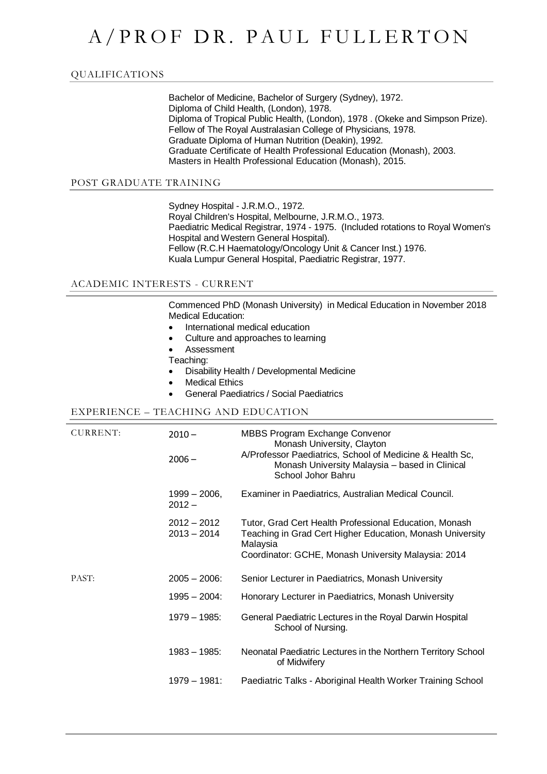# A/PROF DR. PAUL FULLERTON

### QUALIFICATIONS

Bachelor of Medicine, Bachelor of Surgery (Sydney), 1972. Diploma of Child Health, (London), 1978. Diploma of Tropical Public Health, (London), 1978 . (Okeke and Simpson Prize). Fellow of The Royal Australasian College of Physicians, 1978. Graduate Diploma of Human Nutrition (Deakin), 1992. Graduate Certificate of Health Professional Education (Monash), 2003. Masters in Health Professional Education (Monash), 2015.

#### POST GRADUATE TRAINING

Sydney Hospital - J.R.M.O., 1972. Royal Children's Hospital, Melbourne, J.R.M.O., 1973. Paediatric Medical Registrar, 1974 - 1975. (Included rotations to Royal Women's Hospital and Western General Hospital). Fellow (R.C.H Haematology/Oncology Unit & Cancer Inst.) 1976. Kuala Lumpur General Hospital, Paediatric Registrar, 1977.

#### ACADEMIC INTERESTS - CURRENT

Commenced PhD (Monash University) in Medical Education in November 2018 Medical Education:

- International medical education
- Culture and approaches to learning
- Assessment
- Teaching:
- Disability Health / Developmental Medicine
- Medical Ethics
- General Paediatrics / Social Paediatrics

#### EXPERIENCE – TEACHING AND EDUCATION

| CURRENT: | $2010 -$<br>$2006 -$           | <b>MBBS Program Exchange Convenor</b><br>Monash University, Clayton<br>A/Professor Paediatrics, School of Medicine & Health Sc,<br>Monash University Malaysia - based in Clinical<br>School Johor Bahru |
|----------|--------------------------------|---------------------------------------------------------------------------------------------------------------------------------------------------------------------------------------------------------|
|          | 1999 – 2006,<br>$2012 -$       | Examiner in Paediatrics, Australian Medical Council.                                                                                                                                                    |
|          | $2012 - 2012$<br>$2013 - 2014$ | Tutor, Grad Cert Health Professional Education, Monash<br>Teaching in Grad Cert Higher Education, Monash University<br>Malaysia<br>Coordinator: GCHE, Monash University Malaysia: 2014                  |
| PAST:    | $2005 - 2006$ :                | Senior Lecturer in Paediatrics, Monash University                                                                                                                                                       |
|          | $1995 - 2004$ :                | Honorary Lecturer in Paediatrics, Monash University                                                                                                                                                     |
|          | 1979 - 1985:                   | General Paediatric Lectures in the Royal Darwin Hospital<br>School of Nursing.                                                                                                                          |
|          | $1983 - 1985$ :                | Neonatal Paediatric Lectures in the Northern Territory School<br>of Midwifery                                                                                                                           |
|          | 1979 – 1981:                   | Paediatric Talks - Aboriginal Health Worker Training School                                                                                                                                             |